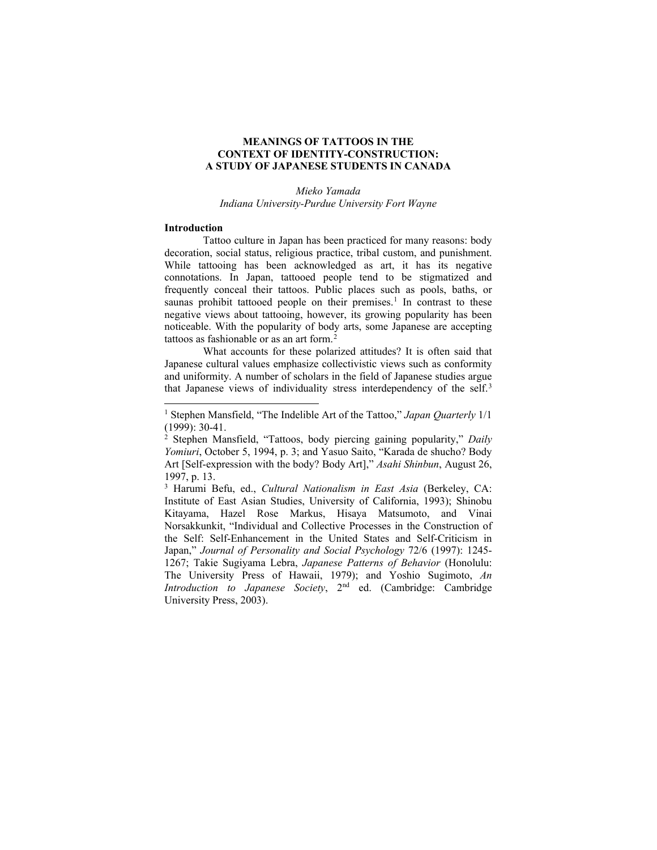# **MEANINGS OF TATTOOS IN THE CONTEXT OF IDENTITY-CONSTRUCTION: A STUDY OF JAPANESE STUDENTS IN CANADA**

*Mieko Yamada Indiana University-Purdue University Fort Wayne*

#### **Introduction**

Tattoo culture in Japan has been practiced for many reasons: body decoration, social status, religious practice, tribal custom, and punishment. While tattooing has been acknowledged as art, it has its negative connotations. In Japan, tattooed people tend to be stigmatized and frequently conceal their tattoos. Public places such as pools, baths, or saunas prohibit tattooed people on their premises.<sup>[1](#page-0-0)</sup> In contrast to these negative views about tattooing, however, its growing popularity has been noticeable. With the popularity of body arts, some Japanese are accepting tattoos as fashionable or as an art form. [2](#page-0-1)

What accounts for these polarized attitudes? It is often said that Japanese cultural values emphasize collectivistic views such as conformity and uniformity. A number of scholars in the field of Japanese studies argue that Japanese views of individuality stress interdependency of the self.[3](#page-0-2)

<span id="page-0-2"></span><sup>3</sup> Harumi Befu, ed., *Cultural Nationalism in East Asia* (Berkeley, CA: Institute of East Asian Studies, University of California, 1993); Shinobu Kitayama, Hazel Rose Markus, Hisaya Matsumoto, and Vinai Norsakkunkit, "Individual and Collective Processes in the Construction of the Self: Self-Enhancement in the United States and Self-Criticism in Japan," *Journal of Personality and Social Psychology* 72/6 (1997): 1245- 1267; Takie Sugiyama Lebra, *Japanese Patterns of Behavior* (Honolulu: The University Press of Hawaii, 1979); and Yoshio Sugimoto, *An Introduction to Japanese Society*, 2nd ed. (Cambridge: Cambridge University Press, 2003).

<span id="page-0-0"></span><sup>1</sup> Stephen Mansfield, "The Indelible Art of the Tattoo," *Japan Quarterly* 1/1 (1999): 30-41.

<span id="page-0-1"></span><sup>2</sup> Stephen Mansfield, "Tattoos, body piercing gaining popularity," *Daily Yomiuri*, October 5, 1994, p. 3; and Yasuo Saito, "Karada de shucho? Body Art [Self-expression with the body? Body Art]," *Asahi Shinbun*, August 26, 1997, p. 13.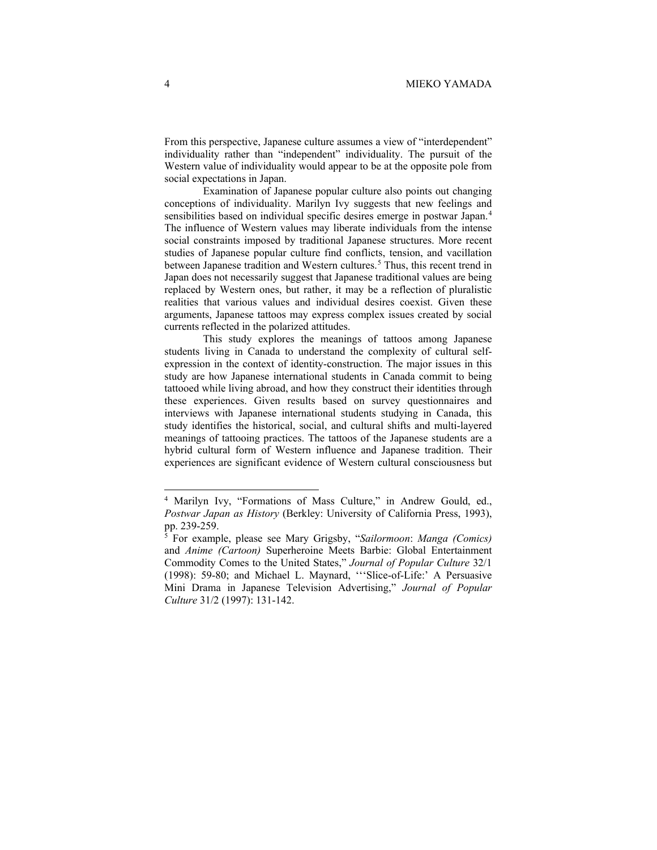From this perspective, Japanese culture assumes a view of "interdependent" individuality rather than "independent" individuality. The pursuit of the Western value of individuality would appear to be at the opposite pole from social expectations in Japan.

Examination of Japanese popular culture also points out changing conceptions of individuality. Marilyn Ivy suggests that new feelings and sensibilities based on individual specific desires emerge in postwar Japan. [4](#page-1-0) The influence of Western values may liberate individuals from the intense social constraints imposed by traditional Japanese structures. More recent studies of Japanese popular culture find conflicts, tension, and vacillation between Japanese tradition and Western cultures.<sup>[5](#page-1-1)</sup> Thus, this recent trend in Japan does not necessarily suggest that Japanese traditional values are being replaced by Western ones, but rather, it may be a reflection of pluralistic realities that various values and individual desires coexist. Given these arguments, Japanese tattoos may express complex issues created by social currents reflected in the polarized attitudes.

This study explores the meanings of tattoos among Japanese students living in Canada to understand the complexity of cultural selfexpression in the context of identity-construction. The major issues in this study are how Japanese international students in Canada commit to being tattooed while living abroad, and how they construct their identities through these experiences. Given results based on survey questionnaires and interviews with Japanese international students studying in Canada, this study identifies the historical, social, and cultural shifts and multi-layered meanings of tattooing practices. The tattoos of the Japanese students are a hybrid cultural form of Western influence and Japanese tradition. Their experiences are significant evidence of Western cultural consciousness but

<span id="page-1-0"></span><sup>&</sup>lt;sup>4</sup> Marilyn Ivy, "Formations of Mass Culture," in Andrew Gould, ed., *Postwar Japan as History* (Berkley: University of California Press, 1993), pp. 239-259.

<span id="page-1-1"></span><sup>5</sup> For example, please see Mary Grigsby, "*Sailormoon*: *Manga (Comics)* and *Anime (Cartoon)* Superheroine Meets Barbie: Global Entertainment Commodity Comes to the United States," *Journal of Popular Culture* 32/1 (1998): 59-80; and Michael L. Maynard, '''Slice-of-Life:' A Persuasive Mini Drama in Japanese Television Advertising," *Journal of Popular Culture* 31/2 (1997): 131-142.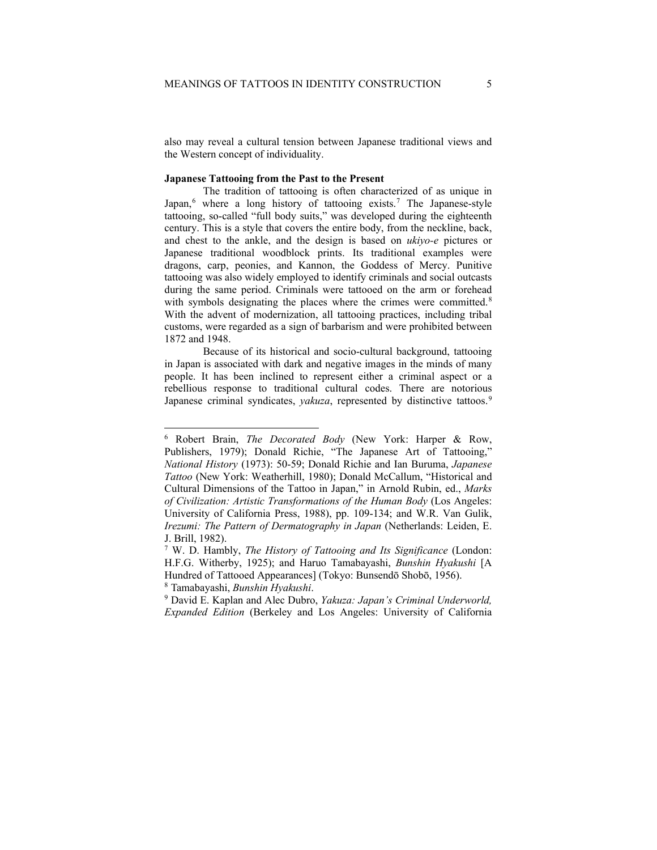also may reveal a cultural tension between Japanese traditional views and the Western concept of individuality.

# **Japanese Tattooing from the Past to the Present**

The tradition of tattooing is often characterized of as unique in Japan, [6](#page-2-0) where a long history of tattooing exists.[7](#page-2-1) The Japanese-style tattooing, so-called "full body suits," was developed during the eighteenth century. This is a style that covers the entire body, from the neckline, back, and chest to the ankle, and the design is based on *ukiyo-e* pictures or Japanese traditional woodblock prints. Its traditional examples were dragons, carp, peonies, and Kannon, the Goddess of Mercy. Punitive tattooing was also widely employed to identify criminals and social outcasts during the same period. Criminals were tattooed on the arm or forehead with symbols designating the places where the crimes were committed.<sup>[8](#page-2-2)</sup> With the advent of modernization, all tattooing practices, including tribal customs, were regarded as a sign of barbarism and were prohibited between 1872 and 1948.

Because of its historical and socio-cultural background, tattooing in Japan is associated with dark and negative images in the minds of many people. It has been inclined to represent either a criminal aspect or a rebellious response to traditional cultural codes. There are notorious Japanese criminal syndicates, *yakuza*, represented by distinctive tattoos. [9](#page-2-3)

<span id="page-2-0"></span><sup>6</sup> Robert Brain, *The Decorated Body* (New York: Harper & Row, Publishers, 1979); Donald Richie, "The Japanese Art of Tattooing," *National History* (1973): 50-59; Donald Richie and Ian Buruma, *Japanese Tattoo* (New York: Weatherhill, 1980); Donald McCallum, "Historical and Cultural Dimensions of the Tattoo in Japan," in Arnold Rubin, ed., *Marks of Civilization: Artistic Transformations of the Human Body* (Los Angeles: University of California Press, 1988), pp. 109-134; and W.R. Van Gulik, *Irezumi: The Pattern of Dermatography in Japan* (Netherlands: Leiden, E. J. Brill, 1982).

<span id="page-2-1"></span><sup>7</sup> W. D. Hambly, *The History of Tattooing and Its Significance* (London: H.F.G. Witherby, 1925); and Haruo Tamabayashi, *Bunshin Hyakushi* [A Hundred of Tattooed Appearances] (Tokyo: Bunsendō Shobō, 1956). <sup>8</sup> Tamabayashi, *Bunshin Hyakushi*.

<span id="page-2-3"></span><span id="page-2-2"></span><sup>9</sup> David E. Kaplan and Alec Dubro, *Yakuza: Japan's Criminal Underworld, Expanded Edition* (Berkeley and Los Angeles: University of California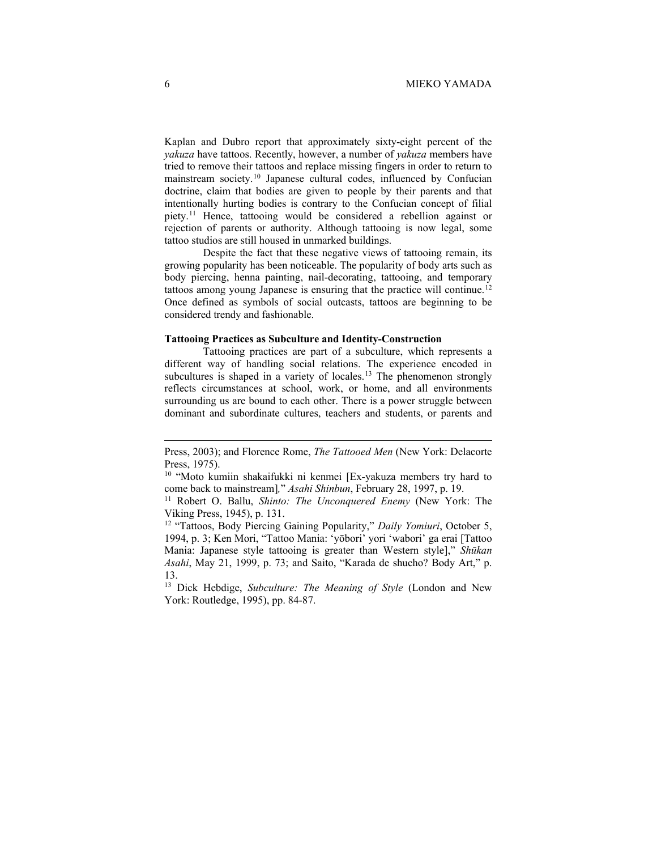Kaplan and Dubro report that approximately sixty-eight percent of the *yakuza* have tattoos. Recently, however, a number of *yakuza* members have tried to remove their tattoos and replace missing fingers in order to return to mainstream society.[10](#page-3-0) Japanese cultural codes, influenced by Confucian doctrine, claim that bodies are given to people by their parents and that intentionally hurting bodies is contrary to the Confucian concept of filial piety.[11](#page-3-1) Hence, tattooing would be considered a rebellion against or rejection of parents or authority. Although tattooing is now legal, some tattoo studios are still housed in unmarked buildings.

Despite the fact that these negative views of tattooing remain, its growing popularity has been noticeable. The popularity of body arts such as body piercing, henna painting, nail-decorating, tattooing, and temporary tattoos among young Japanese is ensuring that the practice will continue.<sup>[12](#page-3-2)</sup> Once defined as symbols of social outcasts, tattoos are beginning to be considered trendy and fashionable.

#### **Tattooing Practices as Subculture and Identity-Construction**

Tattooing practices are part of a subculture, which represents a different way of handling social relations. The experience encoded in subcultures is shaped in a variety of locales.<sup>[13](#page-3-3)</sup> The phenomenon strongly reflects circumstances at school, work, or home, and all environments surrounding us are bound to each other. There is a power struggle between dominant and subordinate cultures, teachers and students, or parents and

Press, 2003); and Florence Rome, *The Tattooed Men* (New York: Delacorte Press, 1975).

<span id="page-3-0"></span><sup>&</sup>lt;sup>10</sup> "Moto kumiin shakaifukki ni kenmei [Ex-yakuza members try hard to come back to mainstream]*,*" *Asahi Shinbun*, February 28, 1997, p. 19.

<span id="page-3-1"></span><sup>11</sup> Robert O. Ballu, *Shinto: The Unconquered Enemy* (New York: The Viking Press, 1945), p. 131.

<span id="page-3-2"></span><sup>&</sup>lt;sup>12</sup> "Tattoos, Body Piercing Gaining Popularity," Daily Yomiuri, October 5, 1994, p. 3; Ken Mori, "Tattoo Mania: 'yōbori' yori 'wabori' ga erai [Tattoo Mania: Japanese style tattooing is greater than Western style]," *Shūkan Asahi*, May 21, 1999, p. 73; and Saito, "Karada de shucho? Body Art," p. 13.

<span id="page-3-3"></span><sup>13</sup> Dick Hebdige, *Subculture: The Meaning of Style* (London and New York: Routledge, 1995), pp. 84-87.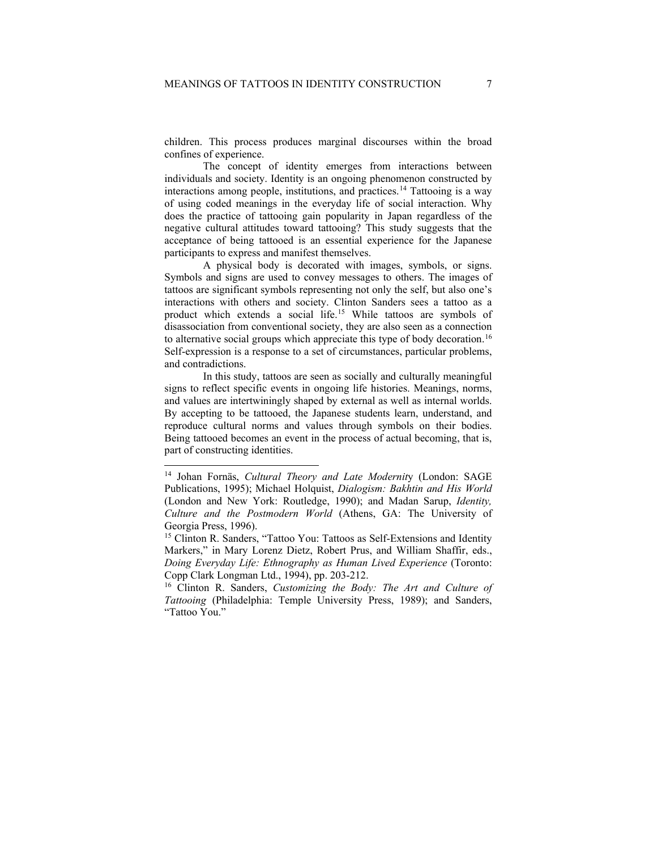children. This process produces marginal discourses within the broad confines of experience.

The concept of identity emerges from interactions between individuals and society. Identity is an ongoing phenomenon constructed by interactions among people, institutions, and practices.[14](#page-4-0) Tattooing is a way of using coded meanings in the everyday life of social interaction. Why does the practice of tattooing gain popularity in Japan regardless of the negative cultural attitudes toward tattooing? This study suggests that the acceptance of being tattooed is an essential experience for the Japanese participants to express and manifest themselves.

A physical body is decorated with images, symbols, or signs. Symbols and signs are used to convey messages to others. The images of tattoos are significant symbols representing not only the self, but also one's interactions with others and society. Clinton Sanders sees a tattoo as a product which extends a social life.[15](#page-4-1) While tattoos are symbols of disassociation from conventional society, they are also seen as a connection to alternative social groups which appreciate this type of body decoration.<sup>[16](#page-4-2)</sup> Self-expression is a response to a set of circumstances, particular problems, and contradictions.

In this study, tattoos are seen as socially and culturally meaningful signs to reflect specific events in ongoing life histories. Meanings, norms, and values are intertwiningly shaped by external as well as internal worlds. By accepting to be tattooed, the Japanese students learn, understand, and reproduce cultural norms and values through symbols on their bodies. Being tattooed becomes an event in the process of actual becoming, that is, part of constructing identities.

<span id="page-4-0"></span><sup>14</sup> Johan Fornäs, *Cultural Theory and Late Modernit*y (London: SAGE Publications, 1995); Michael Holquist, *Dialogism: Bakhtin and His World* (London and New York: Routledge, 1990); and Madan Sarup, *Identity, Culture and the Postmodern World* (Athens, GA: The University of Georgia Press, 1996).

<span id="page-4-1"></span><sup>&</sup>lt;sup>15</sup> Clinton R. Sanders, "Tattoo You: Tattoos as Self-Extensions and Identity Markers," in Mary Lorenz Dietz, Robert Prus, and William Shaffir, eds., *Doing Everyday Life: Ethnography as Human Lived Experience* (Toronto: Copp Clark Longman Ltd., 1994), pp. 203-212. 16 Clinton R. Sanders, *Customizing the Body: The Art and Culture of* 

<span id="page-4-2"></span>*Tattooing* (Philadelphia: Temple University Press, 1989); and Sanders, "Tattoo You."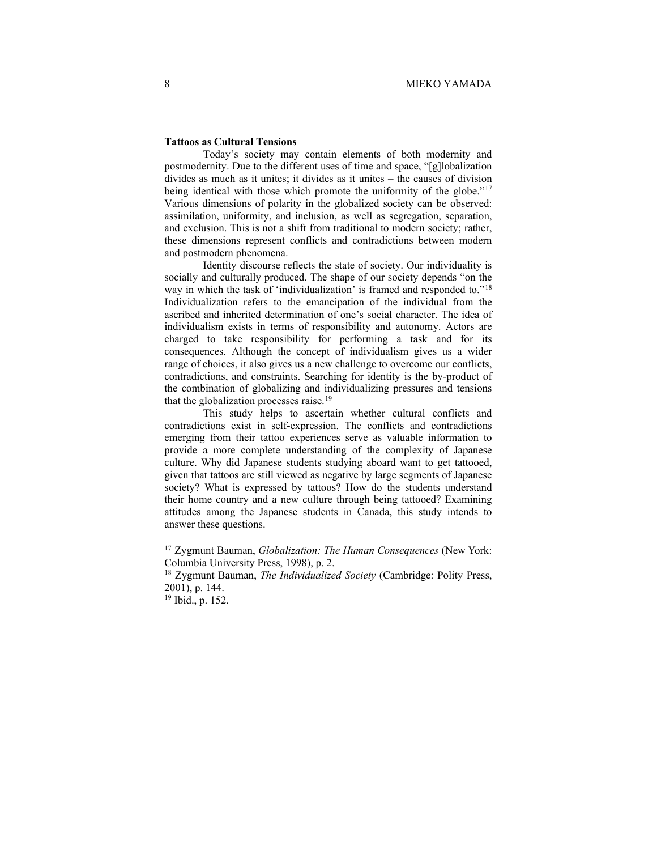# **Tattoos as Cultural Tensions**

Today's society may contain elements of both modernity and postmodernity. Due to the different uses of time and space, "[g]lobalization divides as much as it unites; it divides as it unites – the causes of division being identical with those which promote the uniformity of the globe."<sup>[17](#page-5-0)</sup> Various dimensions of polarity in the globalized society can be observed: assimilation, uniformity, and inclusion, as well as segregation, separation, and exclusion. This is not a shift from traditional to modern society; rather, these dimensions represent conflicts and contradictions between modern and postmodern phenomena.

Identity discourse reflects the state of society. Our individuality is socially and culturally produced. The shape of our society depends "on the way in which the task of 'individualization' is framed and responded to."[18](#page-5-1) Individualization refers to the emancipation of the individual from the ascribed and inherited determination of one's social character. The idea of individualism exists in terms of responsibility and autonomy. Actors are charged to take responsibility for performing a task and for its consequences. Although the concept of individualism gives us a wider range of choices, it also gives us a new challenge to overcome our conflicts, contradictions, and constraints. Searching for identity is the by-product of the combination of globalizing and individualizing pressures and tensions that the globalization processes raise.<sup>[19](#page-5-2)</sup>

This study helps to ascertain whether cultural conflicts and contradictions exist in self-expression. The conflicts and contradictions emerging from their tattoo experiences serve as valuable information to provide a more complete understanding of the complexity of Japanese culture. Why did Japanese students studying aboard want to get tattooed, given that tattoos are still viewed as negative by large segments of Japanese society? What is expressed by tattoos? How do the students understand their home country and a new culture through being tattooed? Examining attitudes among the Japanese students in Canada, this study intends to answer these questions.

<span id="page-5-0"></span><sup>17</sup> Zygmunt Bauman, *Globalization: The Human Consequences* (New York: Columbia University Press, 1998), p. 2.

<span id="page-5-1"></span><sup>18</sup> Zygmunt Bauman, *The Individualized Society* (Cambridge: Polity Press, 2001), p. 144.

<span id="page-5-2"></span><sup>19</sup> Ibid., p. 152.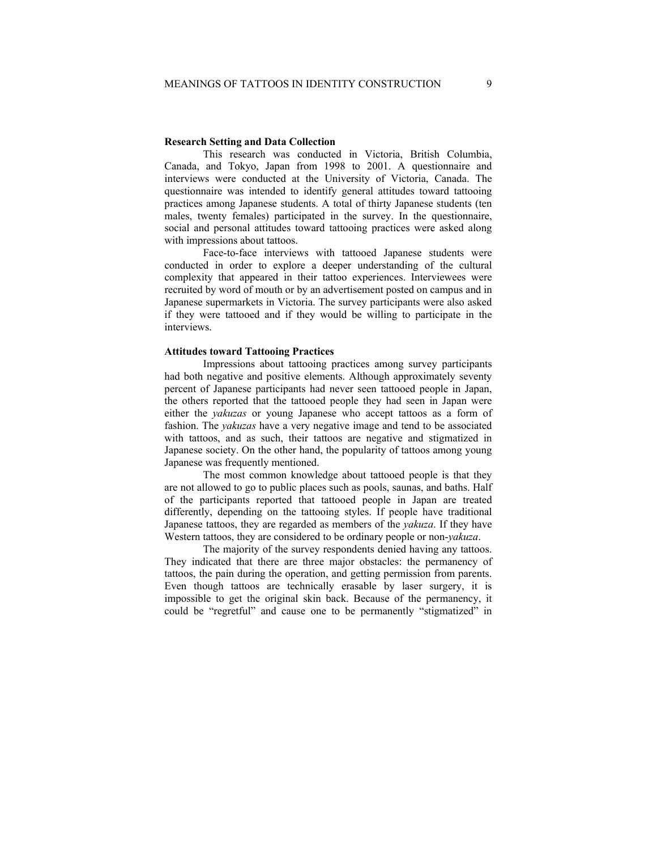### **Research Setting and Data Collection**

This research was conducted in Victoria, British Columbia, Canada, and Tokyo, Japan from 1998 to 2001. A questionnaire and interviews were conducted at the University of Victoria, Canada. The questionnaire was intended to identify general attitudes toward tattooing practices among Japanese students. A total of thirty Japanese students (ten males, twenty females) participated in the survey. In the questionnaire, social and personal attitudes toward tattooing practices were asked along with impressions about tattoos.

Face-to-face interviews with tattooed Japanese students were conducted in order to explore a deeper understanding of the cultural complexity that appeared in their tattoo experiences. Interviewees were recruited by word of mouth or by an advertisement posted on campus and in Japanese supermarkets in Victoria. The survey participants were also asked if they were tattooed and if they would be willing to participate in the interviews.

# **Attitudes toward Tattooing Practices**

Impressions about tattooing practices among survey participants had both negative and positive elements. Although approximately seventy percent of Japanese participants had never seen tattooed people in Japan, the others reported that the tattooed people they had seen in Japan were either the *yakuzas* or young Japanese who accept tattoos as a form of fashion. The *yakuzas* have a very negative image and tend to be associated with tattoos, and as such, their tattoos are negative and stigmatized in Japanese society. On the other hand, the popularity of tattoos among young Japanese was frequently mentioned.

The most common knowledge about tattooed people is that they are not allowed to go to public places such as pools, saunas, and baths. Half of the participants reported that tattooed people in Japan are treated differently, depending on the tattooing styles. If people have traditional Japanese tattoos, they are regarded as members of the *yakuza*. If they have Western tattoos, they are considered to be ordinary people or non-*yakuza*.

The majority of the survey respondents denied having any tattoos. They indicated that there are three major obstacles: the permanency of tattoos, the pain during the operation, and getting permission from parents. Even though tattoos are technically erasable by laser surgery, it is impossible to get the original skin back. Because of the permanency, it could be "regretful" and cause one to be permanently "stigmatized" in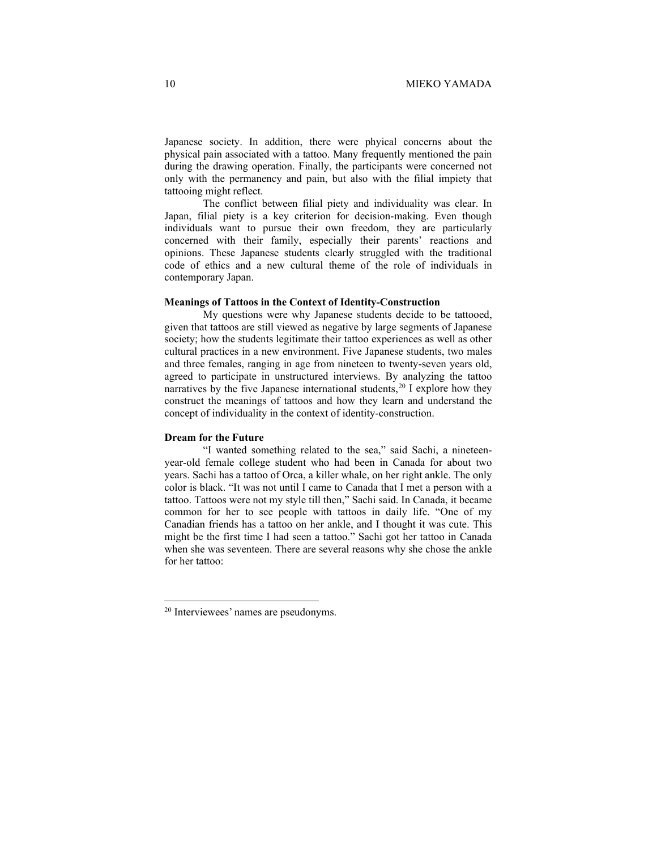Japanese society. In addition, there were phyical concerns about the physical pain associated with a tattoo. Many frequently mentioned the pain during the drawing operation. Finally, the participants were concerned not only with the permanency and pain, but also with the filial impiety that tattooing might reflect.

The conflict between filial piety and individuality was clear. In Japan, filial piety is a key criterion for decision-making. Even though individuals want to pursue their own freedom, they are particularly concerned with their family, especially their parents' reactions and opinions. These Japanese students clearly struggled with the traditional code of ethics and a new cultural theme of the role of individuals in contemporary Japan.

#### **Meanings of Tattoos in the Context of Identity-Construction**

My questions were why Japanese students decide to be tattooed, given that tattoos are still viewed as negative by large segments of Japanese society; how the students legitimate their tattoo experiences as well as other cultural practices in a new environment. Five Japanese students, two males and three females, ranging in age from nineteen to twenty-seven years old, agreed to participate in unstructured interviews. By analyzing the tattoo narratives by the five Japanese international students,  $20$  I explore how they construct the meanings of tattoos and how they learn and understand the concept of individuality in the context of identity-construction.

### **Dream for the Future**

"I wanted something related to the sea," said Sachi, a nineteenyear-old female college student who had been in Canada for about two years. Sachi has a tattoo of Orca, a killer whale, on her right ankle. The only color is black. "It was not until I came to Canada that I met a person with a tattoo. Tattoos were not my style till then," Sachi said. In Canada, it became common for her to see people with tattoos in daily life. "One of my Canadian friends has a tattoo on her ankle, and I thought it was cute. This might be the first time I had seen a tattoo." Sachi got her tattoo in Canada when she was seventeen. There are several reasons why she chose the ankle for her tattoo:

<span id="page-7-0"></span><sup>20</sup> Interviewees' names are pseudonyms.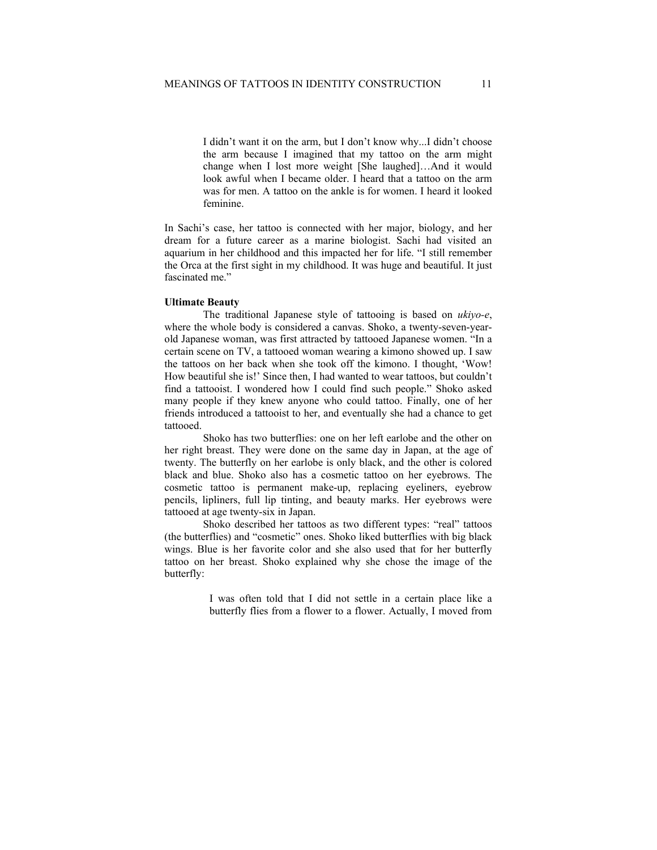I didn't want it on the arm, but I don't know why...I didn't choose the arm because I imagined that my tattoo on the arm might change when I lost more weight [She laughed]…And it would look awful when I became older. I heard that a tattoo on the arm was for men. A tattoo on the ankle is for women. I heard it looked feminine.

In Sachi's case, her tattoo is connected with her major, biology, and her dream for a future career as a marine biologist. Sachi had visited an aquarium in her childhood and this impacted her for life. "I still remember the Orca at the first sight in my childhood. It was huge and beautiful. It just fascinated me."

#### **Ultimate Beauty**

The traditional Japanese style of tattooing is based on *ukiyo-e*, where the whole body is considered a canvas. Shoko, a twenty-seven-yearold Japanese woman, was first attracted by tattooed Japanese women. "In a certain scene on TV, a tattooed woman wearing a kimono showed up. I saw the tattoos on her back when she took off the kimono. I thought, 'Wow! How beautiful she is!' Since then, I had wanted to wear tattoos, but couldn't find a tattooist. I wondered how I could find such people." Shoko asked many people if they knew anyone who could tattoo. Finally, one of her friends introduced a tattooist to her, and eventually she had a chance to get tattooed.

Shoko has two butterflies: one on her left earlobe and the other on her right breast. They were done on the same day in Japan, at the age of twenty. The butterfly on her earlobe is only black, and the other is colored black and blue. Shoko also has a cosmetic tattoo on her eyebrows. The cosmetic tattoo is permanent make-up, replacing eyeliners, eyebrow pencils, lipliners, full lip tinting, and beauty marks. Her eyebrows were tattooed at age twenty-six in Japan.

Shoko described her tattoos as two different types: "real" tattoos (the butterflies) and "cosmetic" ones. Shoko liked butterflies with big black wings. Blue is her favorite color and she also used that for her butterfly tattoo on her breast. Shoko explained why she chose the image of the butterfly:

> I was often told that I did not settle in a certain place like a butterfly flies from a flower to a flower. Actually, I moved from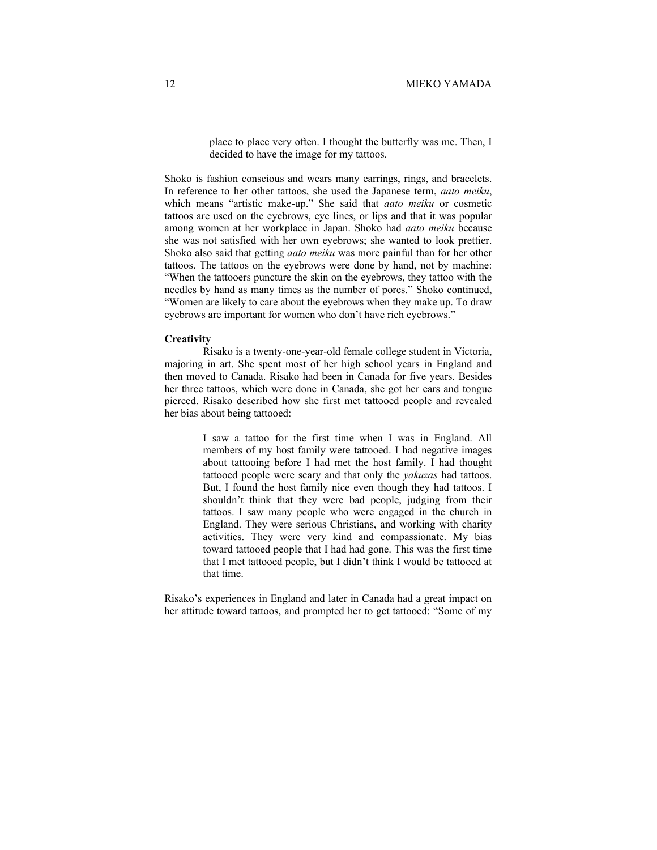place to place very often. I thought the butterfly was me. Then, I decided to have the image for my tattoos.

Shoko is fashion conscious and wears many earrings, rings, and bracelets. In reference to her other tattoos, she used the Japanese term, *aato meiku*, which means "artistic make-up." She said that *aato meiku* or cosmetic tattoos are used on the eyebrows, eye lines, or lips and that it was popular among women at her workplace in Japan. Shoko had *aato meiku* because she was not satisfied with her own eyebrows; she wanted to look prettier. Shoko also said that getting *aato meiku* was more painful than for her other tattoos. The tattoos on the eyebrows were done by hand, not by machine: "When the tattooers puncture the skin on the eyebrows, they tattoo with the needles by hand as many times as the number of pores." Shoko continued, "Women are likely to care about the eyebrows when they make up. To draw eyebrows are important for women who don't have rich eyebrows."

#### **Creativity**

Risako is a twenty-one-year-old female college student in Victoria, majoring in art. She spent most of her high school years in England and then moved to Canada. Risako had been in Canada for five years. Besides her three tattoos, which were done in Canada, she got her ears and tongue pierced. Risako described how she first met tattooed people and revealed her bias about being tattooed:

> I saw a tattoo for the first time when I was in England. All members of my host family were tattooed. I had negative images about tattooing before I had met the host family. I had thought tattooed people were scary and that only the *yakuzas* had tattoos. But, I found the host family nice even though they had tattoos. I shouldn't think that they were bad people, judging from their tattoos. I saw many people who were engaged in the church in England. They were serious Christians, and working with charity activities. They were very kind and compassionate. My bias toward tattooed people that I had had gone. This was the first time that I met tattooed people, but I didn't think I would be tattooed at that time.

Risako's experiences in England and later in Canada had a great impact on her attitude toward tattoos, and prompted her to get tattooed: "Some of my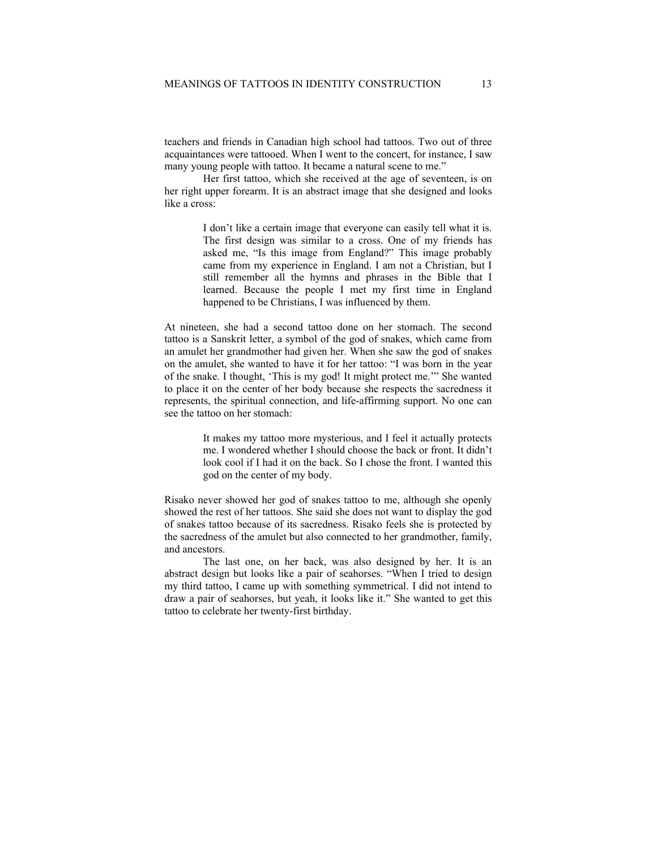teachers and friends in Canadian high school had tattoos. Two out of three acquaintances were tattooed. When I went to the concert, for instance, I saw many young people with tattoo. It became a natural scene to me."

Her first tattoo, which she received at the age of seventeen, is on her right upper forearm. It is an abstract image that she designed and looks like a cross:

> I don't like a certain image that everyone can easily tell what it is. The first design was similar to a cross. One of my friends has asked me, "Is this image from England?" This image probably came from my experience in England. I am not a Christian, but I still remember all the hymns and phrases in the Bible that I learned. Because the people I met my first time in England happened to be Christians, I was influenced by them.

At nineteen, she had a second tattoo done on her stomach. The second tattoo is a Sanskrit letter, a symbol of the god of snakes, which came from an amulet her grandmother had given her. When she saw the god of snakes on the amulet, she wanted to have it for her tattoo: "I was born in the year of the snake. I thought, 'This is my god! It might protect me.'" She wanted to place it on the center of her body because she respects the sacredness it represents, the spiritual connection, and life-affirming support. No one can see the tattoo on her stomach:

> It makes my tattoo more mysterious, and I feel it actually protects me. I wondered whether I should choose the back or front. It didn't look cool if I had it on the back. So I chose the front. I wanted this god on the center of my body.

Risako never showed her god of snakes tattoo to me, although she openly showed the rest of her tattoos. She said she does not want to display the god of snakes tattoo because of its sacredness. Risako feels she is protected by the sacredness of the amulet but also connected to her grandmother, family, and ancestors.

The last one, on her back, was also designed by her. It is an abstract design but looks like a pair of seahorses. "When I tried to design my third tattoo, I came up with something symmetrical. I did not intend to draw a pair of seahorses, but yeah, it looks like it." She wanted to get this tattoo to celebrate her twenty-first birthday.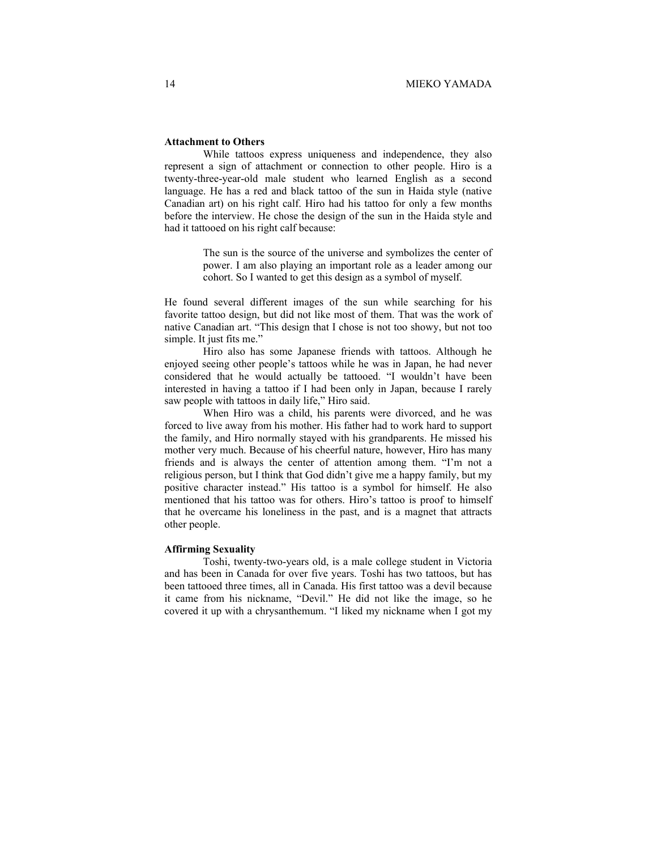# **Attachment to Others**

While tattoos express uniqueness and independence, they also represent a sign of attachment or connection to other people. Hiro is a twenty-three-year-old male student who learned English as a second language. He has a red and black tattoo of the sun in Haida style (native Canadian art) on his right calf. Hiro had his tattoo for only a few months before the interview. He chose the design of the sun in the Haida style and had it tattooed on his right calf because:

> The sun is the source of the universe and symbolizes the center of power. I am also playing an important role as a leader among our cohort. So I wanted to get this design as a symbol of myself.

He found several different images of the sun while searching for his favorite tattoo design, but did not like most of them. That was the work of native Canadian art. "This design that I chose is not too showy, but not too simple. It just fits me."

Hiro also has some Japanese friends with tattoos. Although he enjoyed seeing other people's tattoos while he was in Japan, he had never considered that he would actually be tattooed. "I wouldn't have been interested in having a tattoo if I had been only in Japan, because I rarely saw people with tattoos in daily life," Hiro said.

When Hiro was a child, his parents were divorced, and he was forced to live away from his mother. His father had to work hard to support the family, and Hiro normally stayed with his grandparents. He missed his mother very much. Because of his cheerful nature, however, Hiro has many friends and is always the center of attention among them. "I'm not a religious person, but I think that God didn't give me a happy family, but my positive character instead." His tattoo is a symbol for himself. He also mentioned that his tattoo was for others. Hiro's tattoo is proof to himself that he overcame his loneliness in the past, and is a magnet that attracts other people.

#### **Affirming Sexuality**

Toshi, twenty-two-years old, is a male college student in Victoria and has been in Canada for over five years. Toshi has two tattoos, but has been tattooed three times, all in Canada. His first tattoo was a devil because it came from his nickname, "Devil." He did not like the image, so he covered it up with a chrysanthemum. "I liked my nickname when I got my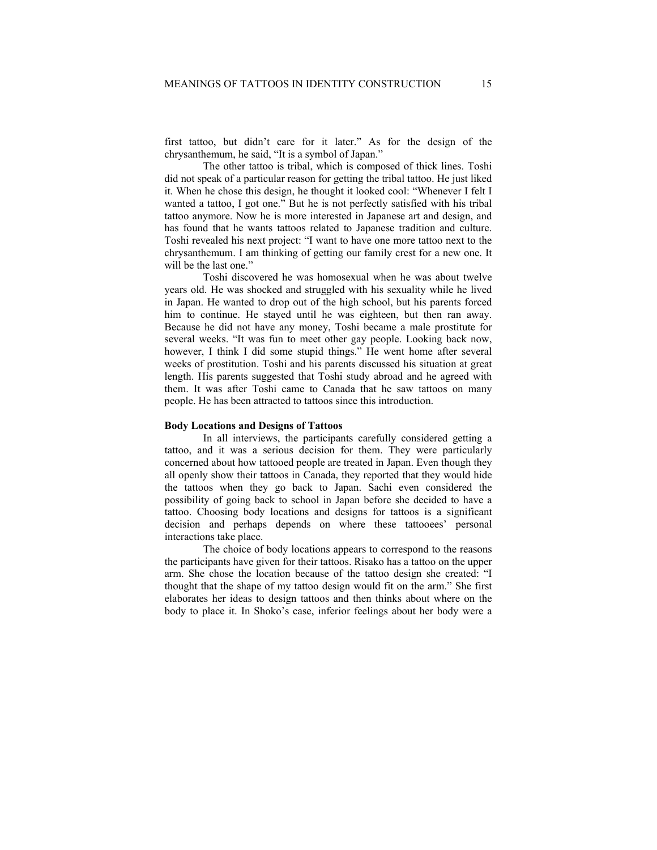first tattoo, but didn't care for it later." As for the design of the chrysanthemum, he said, "It is a symbol of Japan."

The other tattoo is tribal, which is composed of thick lines. Toshi did not speak of a particular reason for getting the tribal tattoo. He just liked it. When he chose this design, he thought it looked cool: "Whenever I felt I wanted a tattoo, I got one." But he is not perfectly satisfied with his tribal tattoo anymore. Now he is more interested in Japanese art and design, and has found that he wants tattoos related to Japanese tradition and culture. Toshi revealed his next project: "I want to have one more tattoo next to the chrysanthemum. I am thinking of getting our family crest for a new one. It will be the last one."

Toshi discovered he was homosexual when he was about twelve years old. He was shocked and struggled with his sexuality while he lived in Japan. He wanted to drop out of the high school, but his parents forced him to continue. He stayed until he was eighteen, but then ran away. Because he did not have any money, Toshi became a male prostitute for several weeks. "It was fun to meet other gay people. Looking back now, however, I think I did some stupid things." He went home after several weeks of prostitution. Toshi and his parents discussed his situation at great length. His parents suggested that Toshi study abroad and he agreed with them. It was after Toshi came to Canada that he saw tattoos on many people. He has been attracted to tattoos since this introduction.

# **Body Locations and Designs of Tattoos**

In all interviews, the participants carefully considered getting a tattoo, and it was a serious decision for them. They were particularly concerned about how tattooed people are treated in Japan. Even though they all openly show their tattoos in Canada, they reported that they would hide the tattoos when they go back to Japan. Sachi even considered the possibility of going back to school in Japan before she decided to have a tattoo. Choosing body locations and designs for tattoos is a significant decision and perhaps depends on where these tattooees' personal interactions take place.

The choice of body locations appears to correspond to the reasons the participants have given for their tattoos. Risako has a tattoo on the upper arm. She chose the location because of the tattoo design she created: "I thought that the shape of my tattoo design would fit on the arm." She first elaborates her ideas to design tattoos and then thinks about where on the body to place it. In Shoko's case, inferior feelings about her body were a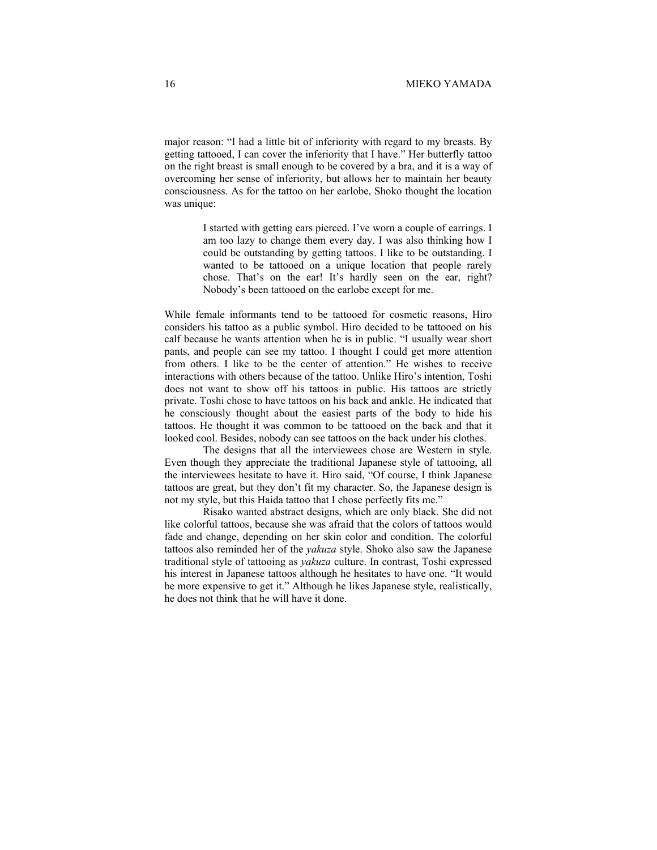major reason: "I had a little bit of inferiority with regard to my breasts. By getting tattooed, I can cover the inferiority that I have." Her butterfly tattoo on the right breast is small enough to be covered by a bra, and it is a way of overcoming her sense of inferiority, but allows her to maintain her beauty consciousness. As for the tattoo on her earlobe, Shoko thought the location was unique:

> I started with getting ears pierced. I've worn a couple of earrings. I am too lazy to change them every day. I was also thinking how I could be outstanding by getting tattoos. I like to be outstanding. I wanted to be tattooed on a unique location that people rarely chose. That's on the ear! It's hardly seen on the ear, right? Nobody's been tattooed on the earlobe except for me.

While female informants tend to be tattooed for cosmetic reasons, Hiro considers his tattoo as a public symbol. Hiro decided to be tattooed on his calf because he wants attention when he is in public. "I usually wear short pants, and people can see my tattoo. I thought I could get more attention from others. I like to be the center of attention." He wishes to receive interactions with others because of the tattoo. Unlike Hiro's intention, Toshi does not want to show off his tattoos in public. His tattoos are strictly private. Toshi chose to have tattoos on his back and ankle. He indicated that he consciously thought about the easiest parts of the body to hide his tattoos. He thought it was common to be tattooed on the back and that it looked cool. Besides, nobody can see tattoos on the back under his clothes.

The designs that all the interviewees chose are Western in style. Even though they appreciate the traditional Japanese style of tattooing, all the interviewees hesitate to have it. Hiro said, "Of course, I think Japanese tattoos are great, but they don't fit my character. So, the Japanese design is not my style, but this Haida tattoo that I chose perfectly fits me."

Risako wanted abstract designs, which are only black. She did not like colorful tattoos, because she was afraid that the colors of tattoos would fade and change, depending on her skin color and condition. The colorful tattoos also reminded her of the *yakuza* style. Shoko also saw the Japanese traditional style of tattooing as *yakuza* culture. In contrast, Toshi expressed his interest in Japanese tattoos although he hesitates to have one. "It would be more expensive to get it." Although he likes Japanese style, realistically, he does not think that he will have it done.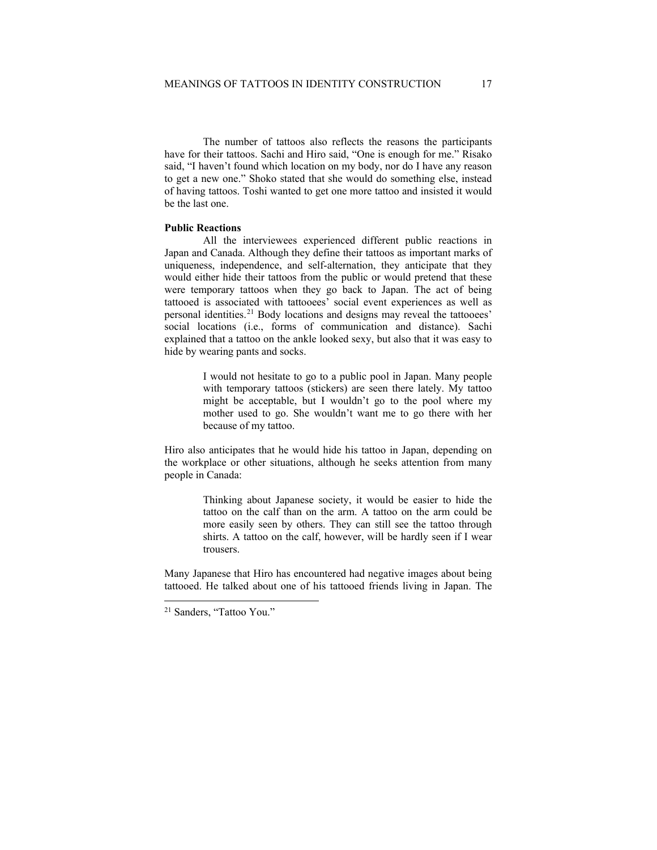The number of tattoos also reflects the reasons the participants have for their tattoos. Sachi and Hiro said, "One is enough for me." Risako said, "I haven't found which location on my body, nor do I have any reason to get a new one." Shoko stated that she would do something else, instead of having tattoos. Toshi wanted to get one more tattoo and insisted it would be the last one.

### **Public Reactions**

All the interviewees experienced different public reactions in Japan and Canada. Although they define their tattoos as important marks of uniqueness, independence, and self-alternation, they anticipate that they would either hide their tattoos from the public or would pretend that these were temporary tattoos when they go back to Japan. The act of being tattooed is associated with tattooees' social event experiences as well as personal identities.<sup>[21](#page-14-0)</sup> Body locations and designs may reveal the tattooees' social locations (i.e., forms of communication and distance). Sachi explained that a tattoo on the ankle looked sexy, but also that it was easy to hide by wearing pants and socks.

> I would not hesitate to go to a public pool in Japan. Many people with temporary tattoos (stickers) are seen there lately. My tattoo might be acceptable, but I wouldn't go to the pool where my mother used to go. She wouldn't want me to go there with her because of my tattoo.

Hiro also anticipates that he would hide his tattoo in Japan, depending on the workplace or other situations, although he seeks attention from many people in Canada:

> Thinking about Japanese society, it would be easier to hide the tattoo on the calf than on the arm. A tattoo on the arm could be more easily seen by others. They can still see the tattoo through shirts. A tattoo on the calf, however, will be hardly seen if I wear trousers.

Many Japanese that Hiro has encountered had negative images about being tattooed. He talked about one of his tattooed friends living in Japan. The

<span id="page-14-0"></span><sup>21</sup> Sanders, "Tattoo You."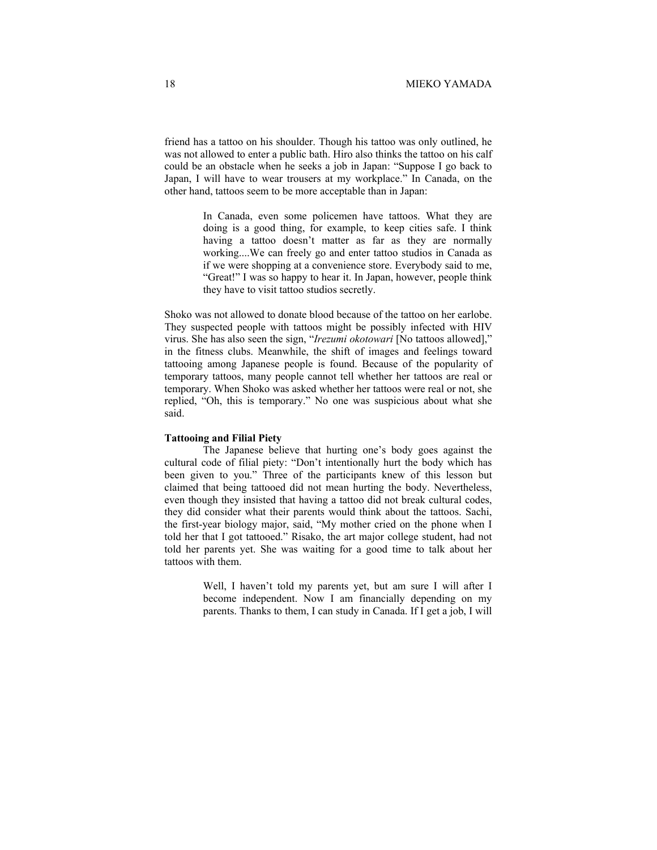friend has a tattoo on his shoulder. Though his tattoo was only outlined, he was not allowed to enter a public bath. Hiro also thinks the tattoo on his calf could be an obstacle when he seeks a job in Japan: "Suppose I go back to Japan, I will have to wear trousers at my workplace." In Canada, on the other hand, tattoos seem to be more acceptable than in Japan:

> In Canada, even some policemen have tattoos. What they are doing is a good thing, for example, to keep cities safe. I think having a tattoo doesn't matter as far as they are normally working....We can freely go and enter tattoo studios in Canada as if we were shopping at a convenience store. Everybody said to me, "Great!" I was so happy to hear it. In Japan, however, people think they have to visit tattoo studios secretly.

Shoko was not allowed to donate blood because of the tattoo on her earlobe. They suspected people with tattoos might be possibly infected with HIV virus. She has also seen the sign, "*Irezumi okotowari* [No tattoos allowed]," in the fitness clubs. Meanwhile, the shift of images and feelings toward tattooing among Japanese people is found. Because of the popularity of temporary tattoos, many people cannot tell whether her tattoos are real or temporary. When Shoko was asked whether her tattoos were real or not, she replied, "Oh, this is temporary." No one was suspicious about what she said.

### **Tattooing and Filial Piety**

The Japanese believe that hurting one's body goes against the cultural code of filial piety: "Don't intentionally hurt the body which has been given to you." Three of the participants knew of this lesson but claimed that being tattooed did not mean hurting the body. Nevertheless, even though they insisted that having a tattoo did not break cultural codes, they did consider what their parents would think about the tattoos. Sachi, the first-year biology major, said, "My mother cried on the phone when I told her that I got tattooed." Risako, the art major college student, had not told her parents yet. She was waiting for a good time to talk about her tattoos with them.

> Well, I haven't told my parents yet, but am sure I will after I become independent. Now I am financially depending on my parents. Thanks to them, I can study in Canada. If I get a job, I will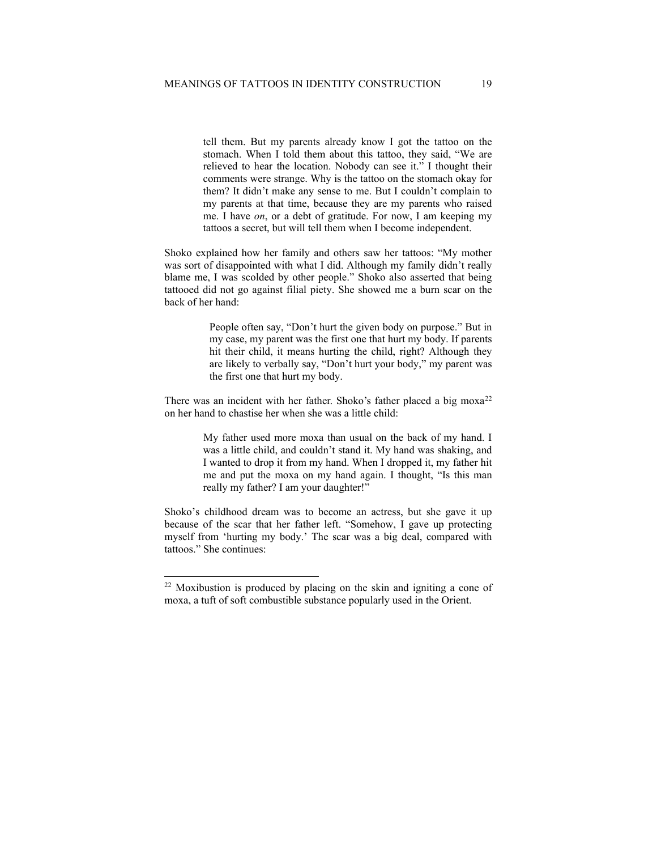tell them. But my parents already know I got the tattoo on the stomach. When I told them about this tattoo, they said, "We are relieved to hear the location. Nobody can see it." I thought their comments were strange. Why is the tattoo on the stomach okay for them? It didn't make any sense to me. But I couldn't complain to my parents at that time, because they are my parents who raised me. I have *on*, or a debt of gratitude. For now, I am keeping my tattoos a secret, but will tell them when I become independent.

Shoko explained how her family and others saw her tattoos: "My mother was sort of disappointed with what I did. Although my family didn't really blame me, I was scolded by other people." Shoko also asserted that being tattooed did not go against filial piety. She showed me a burn scar on the back of her hand:

> People often say, "Don't hurt the given body on purpose." But in my case, my parent was the first one that hurt my body. If parents hit their child, it means hurting the child, right? Although they are likely to verbally say, "Don't hurt your body," my parent was the first one that hurt my body.

There was an incident with her father. Shoko's father placed a big  $m\alpha a^{22}$  $m\alpha a^{22}$  $m\alpha a^{22}$ on her hand to chastise her when she was a little child:

> My father used more moxa than usual on the back of my hand. I was a little child, and couldn't stand it. My hand was shaking, and I wanted to drop it from my hand. When I dropped it, my father hit me and put the moxa on my hand again. I thought, "Is this man really my father? I am your daughter!"

Shoko's childhood dream was to become an actress, but she gave it up because of the scar that her father left. "Somehow, I gave up protecting myself from 'hurting my body.' The scar was a big deal, compared with tattoos." She continues:

<span id="page-16-0"></span><sup>22</sup> Moxibustion is produced by placing on the skin and igniting a cone of moxa, a tuft of soft combustible substance popularly used in the Orient.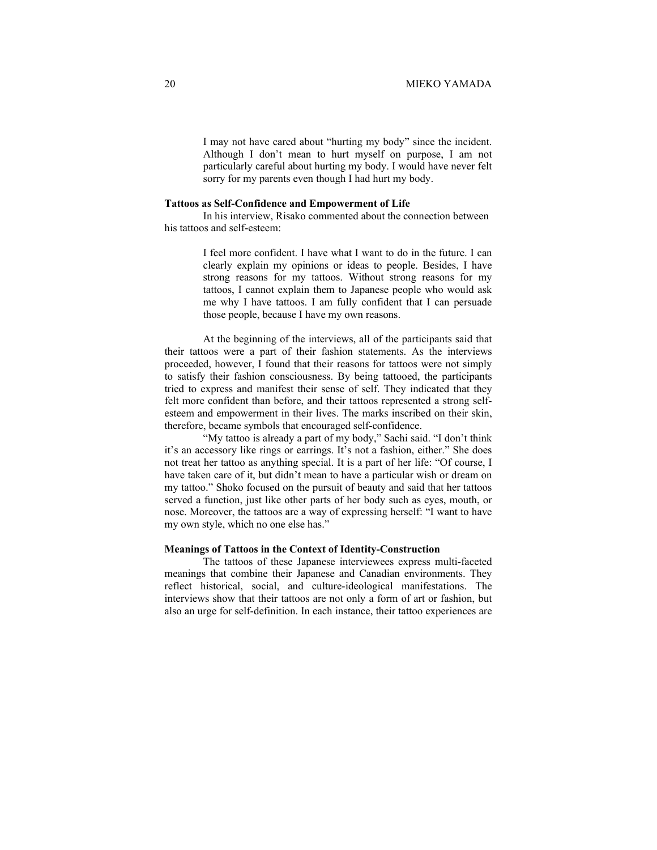I may not have cared about "hurting my body" since the incident. Although I don't mean to hurt myself on purpose, I am not particularly careful about hurting my body. I would have never felt sorry for my parents even though I had hurt my body.

# **Tattoos as Self-Confidence and Empowerment of Life**

In his interview, Risako commented about the connection between his tattoos and self-esteem:

> I feel more confident. I have what I want to do in the future. I can clearly explain my opinions or ideas to people. Besides, I have strong reasons for my tattoos. Without strong reasons for my tattoos, I cannot explain them to Japanese people who would ask me why I have tattoos. I am fully confident that I can persuade those people, because I have my own reasons.

At the beginning of the interviews, all of the participants said that their tattoos were a part of their fashion statements. As the interviews proceeded, however, I found that their reasons for tattoos were not simply to satisfy their fashion consciousness. By being tattooed, the participants tried to express and manifest their sense of self. They indicated that they felt more confident than before, and their tattoos represented a strong selfesteem and empowerment in their lives. The marks inscribed on their skin, therefore, became symbols that encouraged self-confidence.

"My tattoo is already a part of my body," Sachi said. "I don't think it's an accessory like rings or earrings. It's not a fashion, either." She does not treat her tattoo as anything special. It is a part of her life: "Of course, I have taken care of it, but didn't mean to have a particular wish or dream on my tattoo." Shoko focused on the pursuit of beauty and said that her tattoos served a function, just like other parts of her body such as eyes, mouth, or nose. Moreover, the tattoos are a way of expressing herself: "I want to have my own style, which no one else has."

# **Meanings of Tattoos in the Context of Identity-Construction**

The tattoos of these Japanese interviewees express multi-faceted meanings that combine their Japanese and Canadian environments. They reflect historical, social, and culture-ideological manifestations. The interviews show that their tattoos are not only a form of art or fashion, but also an urge for self-definition. In each instance, their tattoo experiences are